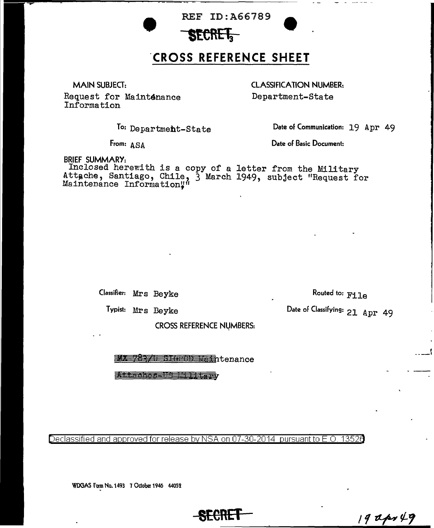## **REF ID:A66789**

## **'CROSS REFERENCE SHEET**

MAIN SUBJECT:

 $\overline{\phantom{m}}$ 

Request for Maint4nance Information

CLASSIFICATION NUMBER: Department-State

To: Departmeht-State

Date of Communication: 19 Apr 49

From: ASA

Date of Basic Document:

BRIEF SUMMARY:

Inclosed herewith is a copy of a letter from the Military Attache, Santiago, Chile, 3 March 1949, subject "Request for Maintenance Information"

Classifier: Mrs Beyke

Routed to: File

Date of Classifying: 21 Apr 49

Typist: Mrs Beyke

CROSS REFERENCE NUMBERS:

<del>78371 BHFOD Main</del>tenance

The ches - 13 14 14 taps

Declassified and approved for release by NSA on 07-30-2014  $\,$  pursuant to E.O. 13526  $\,$ 

WDGAS Form No. 1493 7 October 1946 44052

**SECRET** 

 $19$ apr $49$ 

 $\mathcal{L} = \mathcal{L}$